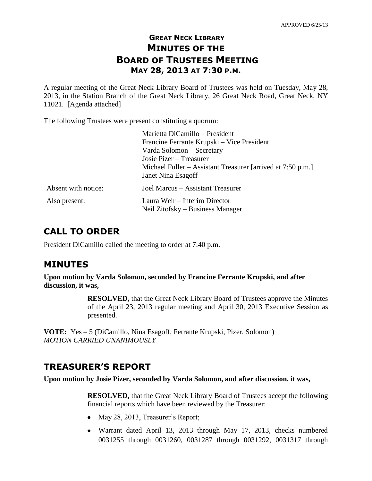## **GREAT NECK LIBRARY MINUTES OF THE BOARD OF TRUSTEES MEETING MAY 28, 2013 AT 7:30 P.M.**

A regular meeting of the Great Neck Library Board of Trustees was held on Tuesday, May 28, 2013, in the Station Branch of the Great Neck Library, 26 Great Neck Road, Great Neck, NY 11021. [Agenda attached]

The following Trustees were present constituting a quorum:

|                     | Marietta DiCamillo - President                              |
|---------------------|-------------------------------------------------------------|
|                     | Francine Ferrante Krupski – Vice President                  |
|                     | Varda Solomon - Secretary                                   |
|                     | Josie Pizer – Treasurer                                     |
|                     | Michael Fuller – Assistant Treasurer [arrived at 7:50 p.m.] |
|                     | Janet Nina Esagoff                                          |
| Absent with notice: | Joel Marcus - Assistant Treasurer                           |
| Also present:       | Laura Weir - Interim Director                               |
|                     | Neil Zitofsky – Business Manager                            |

## **CALL TO ORDER**

President DiCamillo called the meeting to order at 7:40 p.m.

## **MINUTES**

**Upon motion by Varda Solomon, seconded by Francine Ferrante Krupski, and after discussion, it was,**

> **RESOLVED,** that the Great Neck Library Board of Trustees approve the Minutes of the April 23, 2013 regular meeting and April 30, 2013 Executive Session as presented.

**VOTE:** Yes – 5 (DiCamillo, Nina Esagoff, Ferrante Krupski, Pizer, Solomon) *MOTION CARRIED UNANIMOUSLY* 

## **TREASURER'S REPORT**

**Upon motion by Josie Pizer, seconded by Varda Solomon, and after discussion, it was,**

**RESOLVED,** that the Great Neck Library Board of Trustees accept the following financial reports which have been reviewed by the Treasurer:

- May 28, 2013, Treasurer's Report;
- Warrant dated April 13, 2013 through May 17, 2013, checks numbered 0031255 through 0031260, 0031287 through 0031292, 0031317 through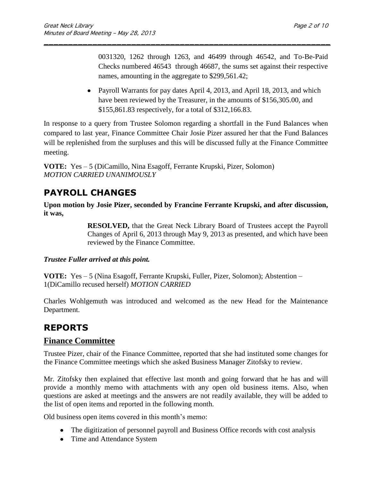0031320, 1262 through 1263, and 46499 through 46542, and To-Be-Paid Checks numbered 46543 through 46687, the sums set against their respective names, amounting in the aggregate to \$299,561.42;

• Payroll Warrants for pay dates April 4, 2013, and April 18, 2013, and which have been reviewed by the Treasurer, in the amounts of \$156,305.00, and \$155,861.83 respectively, for a total of \$312,166.83.

In response to a query from Trustee Solomon regarding a shortfall in the Fund Balances when compared to last year, Finance Committee Chair Josie Pizer assured her that the Fund Balances will be replenished from the surpluses and this will be discussed fully at the Finance Committee meeting.

\_\_\_\_\_\_\_\_\_\_\_\_\_\_\_\_\_\_\_\_\_\_\_\_\_\_\_\_\_\_\_\_\_\_\_\_\_\_\_\_\_\_\_\_\_\_\_\_\_\_\_\_\_\_\_\_\_\_\_

**VOTE:** Yes – 5 (DiCamillo, Nina Esagoff, Ferrante Krupski, Pizer, Solomon) *MOTION CARRIED UNANIMOUSLY*

# **PAYROLL CHANGES**

**Upon motion by Josie Pizer, seconded by Francine Ferrante Krupski, and after discussion, it was,**

> **RESOLVED,** that the Great Neck Library Board of Trustees accept the Payroll Changes of April 6, 2013 through May 9, 2013 as presented, and which have been reviewed by the Finance Committee.

### *Trustee Fuller arrived at this point.*

**VOTE:** Yes – 5 (Nina Esagoff, Ferrante Krupski, Fuller, Pizer, Solomon); Abstention – 1(DiCamillo recused herself) *MOTION CARRIED*

Charles Wohlgemuth was introduced and welcomed as the new Head for the Maintenance Department.

## **REPORTS**

## **Finance Committee**

Trustee Pizer, chair of the Finance Committee, reported that she had instituted some changes for the Finance Committee meetings which she asked Business Manager Zitofsky to review.

Mr. Zitofsky then explained that effective last month and going forward that he has and will provide a monthly memo with attachments with any open old business items. Also, when questions are asked at meetings and the answers are not readily available, they will be added to the list of open items and reported in the following month.

Old business open items covered in this month's memo:

- The digitization of personnel payroll and Business Office records with cost analysis
- Time and Attendance System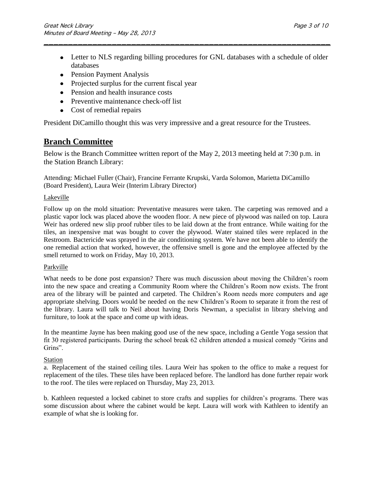Letter to NLS regarding billing procedures for GNL databases with a schedule of older databases

\_\_\_\_\_\_\_\_\_\_\_\_\_\_\_\_\_\_\_\_\_\_\_\_\_\_\_\_\_\_\_\_\_\_\_\_\_\_\_\_\_\_\_\_\_\_\_\_\_\_\_\_\_\_\_\_\_\_\_

- Pension Payment Analysis
- Projected surplus for the current fiscal year
- Pension and health insurance costs
- Preventive maintenance check-off list
- Cost of remedial repairs

President DiCamillo thought this was very impressive and a great resource for the Trustees.

### **Branch Committee**

Below is the Branch Committee written report of the May 2, 2013 meeting held at 7:30 p.m. in the Station Branch Library:

Attending: Michael Fuller (Chair), Francine Ferrante Krupski, Varda Solomon, Marietta DiCamillo (Board President), Laura Weir (Interim Library Director)

#### Lakeville

Follow up on the mold situation: Preventative measures were taken. The carpeting was removed and a plastic vapor lock was placed above the wooden floor. A new piece of plywood was nailed on top. Laura Weir has ordered new slip proof rubber tiles to be laid down at the front entrance. While waiting for the tiles, an inexpensive mat was bought to cover the plywood. Water stained tiles were replaced in the Restroom. Bactericide was sprayed in the air conditioning system. We have not been able to identify the one remedial action that worked, however, the offensive smell is gone and the employee affected by the smell returned to work on Friday, May 10, 2013.

#### Parkville

What needs to be done post expansion? There was much discussion about moving the Children's room into the new space and creating a Community Room where the Children's Room now exists. The front area of the library will be painted and carpeted. The Children's Room needs more computers and age appropriate shelving. Doors would be needed on the new Children's Room to separate it from the rest of the library. Laura will talk to Neil about having Doris Newman, a specialist in library shelving and furniture, to look at the space and come up with ideas.

In the meantime Jayne has been making good use of the new space, including a Gentle Yoga session that fit 30 registered participants. During the school break 62 children attended a musical comedy "Grins and Grins".

#### Station

a. Replacement of the stained ceiling tiles. Laura Weir has spoken to the office to make a request for replacement of the tiles. These tiles have been replaced before. The landlord has done further repair work to the roof. The tiles were replaced on Thursday, May 23, 2013.

b. Kathleen requested a locked cabinet to store crafts and supplies for children's programs. There was some discussion about where the cabinet would be kept. Laura will work with Kathleen to identify an example of what she is looking for.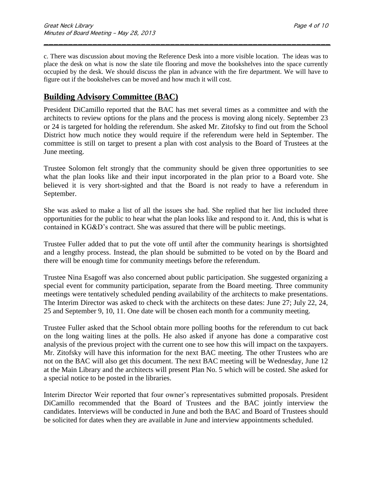c. There was discussion about moving the Reference Desk into a more visible location. The ideas was to place the desk on what is now the slate tile flooring and move the bookshelves into the space currently occupied by the desk. We should discuss the plan in advance with the fire department. We will have to figure out if the bookshelves can be moved and how much it will cost.

\_\_\_\_\_\_\_\_\_\_\_\_\_\_\_\_\_\_\_\_\_\_\_\_\_\_\_\_\_\_\_\_\_\_\_\_\_\_\_\_\_\_\_\_\_\_\_\_\_\_\_\_\_\_\_\_\_\_\_

## **Building Advisory Committee (BAC)**

President DiCamillo reported that the BAC has met several times as a committee and with the architects to review options for the plans and the process is moving along nicely. September 23 or 24 is targeted for holding the referendum. She asked Mr. Zitofsky to find out from the School District how much notice they would require if the referendum were held in September. The committee is still on target to present a plan with cost analysis to the Board of Trustees at the June meeting.

Trustee Solomon felt strongly that the community should be given three opportunities to see what the plan looks like and their input incorporated in the plan prior to a Board vote. She believed it is very short-sighted and that the Board is not ready to have a referendum in September.

She was asked to make a list of all the issues she had. She replied that her list included three opportunities for the public to hear what the plan looks like and respond to it. And, this is what is contained in KG&D's contract. She was assured that there will be public meetings.

Trustee Fuller added that to put the vote off until after the community hearings is shortsighted and a lengthy process. Instead, the plan should be submitted to be voted on by the Board and there will be enough time for community meetings before the referendum.

Trustee Nina Esagoff was also concerned about public participation. She suggested organizing a special event for community participation, separate from the Board meeting. Three community meetings were tentatively scheduled pending availability of the architects to make presentations. The Interim Director was asked to check with the architects on these dates: June 27; July 22, 24, 25 and September 9, 10, 11. One date will be chosen each month for a community meeting.

Trustee Fuller asked that the School obtain more polling booths for the referendum to cut back on the long waiting lines at the polls. He also asked if anyone has done a comparative cost analysis of the previous project with the current one to see how this will impact on the taxpayers. Mr. Zitofsky will have this information for the next BAC meeting. The other Trustees who are not on the BAC will also get this document. The next BAC meeting will be Wednesday, June 12 at the Main Library and the architects will present Plan No. 5 which will be costed. She asked for a special notice to be posted in the libraries.

Interim Director Weir reported that four owner's representatives submitted proposals. President DiCamillo recommended that the Board of Trustees and the BAC jointly interview the candidates. Interviews will be conducted in June and both the BAC and Board of Trustees should be solicited for dates when they are available in June and interview appointments scheduled.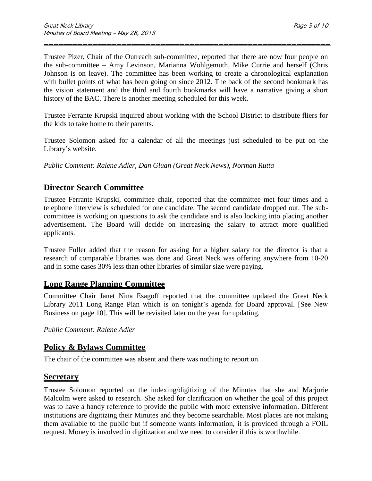Trustee Pizer, Chair of the Outreach sub-committee, reported that there are now four people on the sub-committee – Amy Levinson, Marianna Wohlgemuth, Mike Currie and herself (Chris Johnson is on leave). The committee has been working to create a chronological explanation with bullet points of what has been going on since 2012. The back of the second bookmark has the vision statement and the third and fourth bookmarks will have a narrative giving a short history of the BAC. There is another meeting scheduled for this week.

\_\_\_\_\_\_\_\_\_\_\_\_\_\_\_\_\_\_\_\_\_\_\_\_\_\_\_\_\_\_\_\_\_\_\_\_\_\_\_\_\_\_\_\_\_\_\_\_\_\_\_\_\_\_\_\_\_\_\_

Trustee Ferrante Krupski inquired about working with the School District to distribute fliers for the kids to take home to their parents.

Trustee Solomon asked for a calendar of all the meetings just scheduled to be put on the Library's website.

*Public Comment: Ralene Adler, Dan Gluan (Great Neck News), Norman Rutta*

## **Director Search Committee**

Trustee Ferrante Krupski, committee chair, reported that the committee met four times and a telephone interview is scheduled for one candidate. The second candidate dropped out. The subcommittee is working on questions to ask the candidate and is also looking into placing another advertisement. The Board will decide on increasing the salary to attract more qualified applicants.

Trustee Fuller added that the reason for asking for a higher salary for the director is that a research of comparable libraries was done and Great Neck was offering anywhere from 10-20 and in some cases 30% less than other libraries of similar size were paying.

### **Long Range Planning Committee**

Committee Chair Janet Nina Esagoff reported that the committee updated the Great Neck Library 2011 Long Range Plan which is on tonight's agenda for Board approval. [See New Business on page 10]. This will be revisited later on the year for updating.

*Public Comment: Ralene Adler*

### **Policy & Bylaws Committee**

The chair of the committee was absent and there was nothing to report on.

#### **Secretary**

Trustee Solomon reported on the indexing/digitizing of the Minutes that she and Marjorie Malcolm were asked to research. She asked for clarification on whether the goal of this project was to have a handy reference to provide the public with more extensive information. Different institutions are digitizing their Minutes and they become searchable. Most places are not making them available to the public but if someone wants information, it is provided through a FOIL request. Money is involved in digitization and we need to consider if this is worthwhile.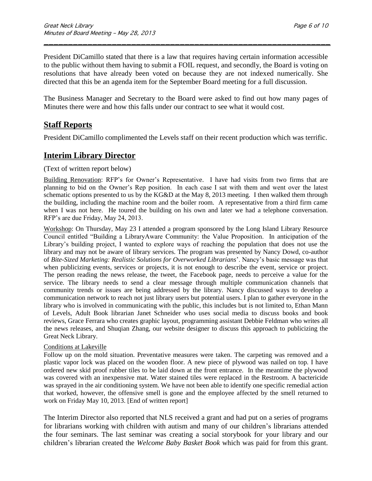President DiCamillo stated that there is a law that requires having certain information accessible to the public without them having to submit a FOIL request, and secondly, the Board is voting on resolutions that have already been voted on because they are not indexed numerically. She directed that this be an agenda item for the September Board meeting for a full discussion.

\_\_\_\_\_\_\_\_\_\_\_\_\_\_\_\_\_\_\_\_\_\_\_\_\_\_\_\_\_\_\_\_\_\_\_\_\_\_\_\_\_\_\_\_\_\_\_\_\_\_\_\_\_\_\_\_\_\_\_

The Business Manager and Secretary to the Board were asked to find out how many pages of Minutes there were and how this falls under our contract to see what it would cost.

## **Staff Reports**

President DiCamillo complimented the Levels staff on their recent production which was terrific.

### **Interim Library Director**

#### (Text of written report below)

Building Renovation: RFP's for Owner's Representative. I have had visits from two firms that are planning to bid on the Owner's Rep position. In each case I sat with them and went over the latest schematic options presented to us by the KG&D at the May 8, 2013 meeting. I then walked them through the building, including the machine room and the boiler room. A representative from a third firm came when I was not here. He toured the building on his own and later we had a telephone conversation. RFP's are due Friday, May 24, 2013.

Workshop: On Thursday, May 23 I attended a program sponsored by the Long Island Library Resource Council entitled "Building a LibraryAware Community: the Value Proposition. In anticipation of the Library's building project, I wanted to explore ways of reaching the population that does not use the library and may not be aware of library services. The program was presented by Nancy Dowd, co-author of *Bite-Sized Marketing: Realistic Solutions for Overworked Librarians*'. Nancy's basic message was that when publicizing events, services or projects, it is not enough to describe the event, service or project. The person reading the news release, the tweet, the Facebook page, needs to perceive a value for the service. The library needs to send a clear message through multiple communication channels that community trends or issues are being addressed by the library. Nancy discussed ways to develop a communication network to reach not just library users but potential users. I plan to gather everyone in the library who is involved in communicating with the public, this includes but is not limited to, Ethan Mann of Levels, Adult Book librarian Janet Schneider who uses social media to discuss books and book reviews, Grace Ferrara who creates graphic layout, programming assistant Debbie Feldman who writes all the news releases, and Shuqian Zhang, our website designer to discuss this approach to publicizing the Great Neck Library.

#### Conditions at Lakeville

Follow up on the mold situation. Preventative measures were taken. The carpeting was removed and a plastic vapor lock was placed on the wooden floor. A new piece of plywood was nailed on top. I have ordered new skid proof rubber tiles to be laid down at the front entrance. In the meantime the plywood was covered with an inexpensive mat. Water stained tiles were replaced in the Restroom. A bactericide was sprayed in the air conditioning system. We have not been able to identify one specific remedial action that worked, however, the offensive smell is gone and the employee affected by the smell returned to work on Friday May 10, 2013. [End of written report]

The Interim Director also reported that NLS received a grant and had put on a series of programs for librarians working with children with autism and many of our children's librarians attended the four seminars. The last seminar was creating a social storybook for your library and our children's librarian created the *Welcome Baby Basket Book* which was paid for from this grant.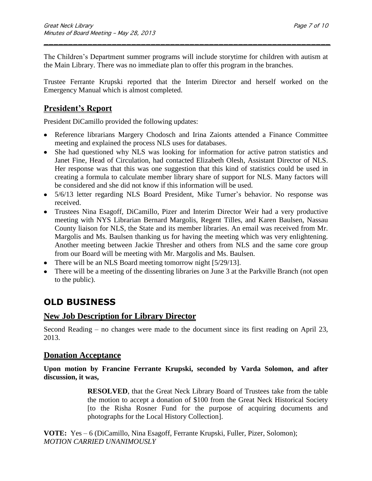The Children's Department summer programs will include storytime for children with autism at the Main Library. There was no immediate plan to offer this program in the branches.

\_\_\_\_\_\_\_\_\_\_\_\_\_\_\_\_\_\_\_\_\_\_\_\_\_\_\_\_\_\_\_\_\_\_\_\_\_\_\_\_\_\_\_\_\_\_\_\_\_\_\_\_\_\_\_\_\_\_\_

Trustee Ferrante Krupski reported that the Interim Director and herself worked on the Emergency Manual which is almost completed.

## **President's Report**

President DiCamillo provided the following updates:

- Reference librarians Margery Chodosch and Irina Zaionts attended a Finance Committee meeting and explained the process NLS uses for databases.
- She had questioned why NLS was looking for information for active patron statistics and Janet Fine, Head of Circulation, had contacted Elizabeth Olesh, Assistant Director of NLS. Her response was that this was one suggestion that this kind of statistics could be used in creating a formula to calculate member library share of support for NLS. Many factors will be considered and she did not know if this information will be used.
- 5/6/13 letter regarding NLS Board President, Mike Turner's behavior. No response was received.
- Trustees Nina Esagoff, DiCamillo, Pizer and Interim Director Weir had a very productive meeting with NYS Librarian Bernard Margolis, Regent Tilles, and Karen Baulsen, Nassau County liaison for NLS, the State and its member libraries. An email was received from Mr. Margolis and Ms. Baulsen thanking us for having the meeting which was very enlightening. Another meeting between Jackie Thresher and others from NLS and the same core group from our Board will be meeting with Mr. Margolis and Ms. Baulsen.
- There will be an NLS Board meeting tomorrow night [5/29/13].
- There will be a meeting of the dissenting libraries on June 3 at the Parkville Branch (not open to the public).

## **OLD BUSINESS**

### **New Job Description for Library Director**

Second Reading – no changes were made to the document since its first reading on April 23, 2013.

### **Donation Acceptance**

**Upon motion by Francine Ferrante Krupski, seconded by Varda Solomon, and after discussion, it was,**

> **RESOLVED**, that the Great Neck Library Board of Trustees take from the table the motion to accept a donation of \$100 from the Great Neck Historical Society [to the Risha Rosner Fund for the purpose of acquiring documents and photographs for the Local History Collection].

**VOTE:** Yes – 6 (DiCamillo, Nina Esagoff, Ferrante Krupski, Fuller, Pizer, Solomon); *MOTION CARRIED UNANIMOUSLY*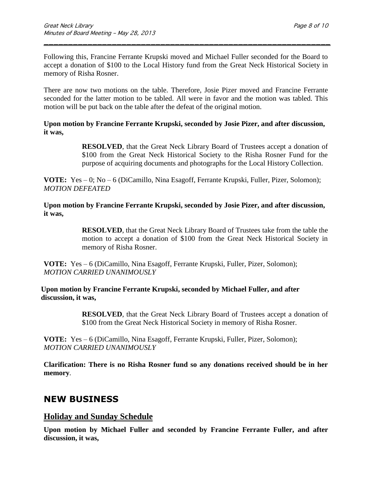Following this, Francine Ferrante Krupski moved and Michael Fuller seconded for the Board to accept a donation of \$100 to the Local History fund from the Great Neck Historical Society in memory of Risha Rosner.

\_\_\_\_\_\_\_\_\_\_\_\_\_\_\_\_\_\_\_\_\_\_\_\_\_\_\_\_\_\_\_\_\_\_\_\_\_\_\_\_\_\_\_\_\_\_\_\_\_\_\_\_\_\_\_\_\_\_\_

There are now two motions on the table. Therefore, Josie Pizer moved and Francine Ferrante seconded for the latter motion to be tabled. All were in favor and the motion was tabled. This motion will be put back on the table after the defeat of the original motion.

#### **Upon motion by Francine Ferrante Krupski, seconded by Josie Pizer, and after discussion, it was,**

**RESOLVED**, that the Great Neck Library Board of Trustees accept a donation of \$100 from the Great Neck Historical Society to the Risha Rosner Fund for the purpose of acquiring documents and photographs for the Local History Collection.

**VOTE:** Yes – 0; No – 6 (DiCamillo, Nina Esagoff, Ferrante Krupski, Fuller, Pizer, Solomon); *MOTION DEFEATED*

**Upon motion by Francine Ferrante Krupski, seconded by Josie Pizer, and after discussion, it was,**

> **RESOLVED**, that the Great Neck Library Board of Trustees take from the table the motion to accept a donation of \$100 from the Great Neck Historical Society in memory of Risha Rosner.

**VOTE:** Yes – 6 (DiCamillo, Nina Esagoff, Ferrante Krupski, Fuller, Pizer, Solomon); *MOTION CARRIED UNANIMOUSLY*

**Upon motion by Francine Ferrante Krupski, seconded by Michael Fuller, and after discussion, it was,**

> **RESOLVED**, that the Great Neck Library Board of Trustees accept a donation of \$100 from the Great Neck Historical Society in memory of Risha Rosner.

**VOTE:** Yes – 6 (DiCamillo, Nina Esagoff, Ferrante Krupski, Fuller, Pizer, Solomon); *MOTION CARRIED UNANIMOUSLY* 

**Clarification: There is no Risha Rosner fund so any donations received should be in her memory***.* 

## **NEW BUSINESS**

### **Holiday and Sunday Schedule**

**Upon motion by Michael Fuller and seconded by Francine Ferrante Fuller, and after discussion, it was,**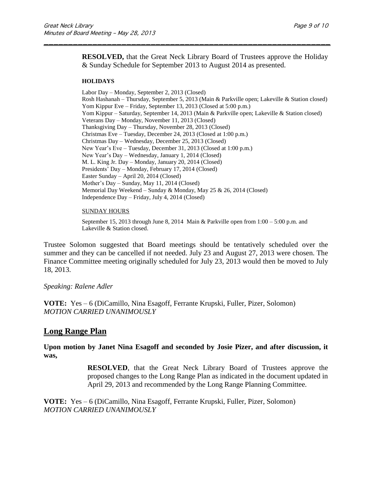**RESOLVED,** that the Great Neck Library Board of Trustees approve the Holiday & Sunday Schedule for September 2013 to August 2014 as presented.

\_\_\_\_\_\_\_\_\_\_\_\_\_\_\_\_\_\_\_\_\_\_\_\_\_\_\_\_\_\_\_\_\_\_\_\_\_\_\_\_\_\_\_\_\_\_\_\_\_\_\_\_\_\_\_\_\_\_\_

#### **HOLIDAYS**

Labor Day – Monday, September 2, 2013 (Closed) Rosh Hashanah – Thursday, September 5, 2013 (Main & Parkville open; Lakeville & Station closed) Yom Kippur Eve – Friday, September 13, 2013 (Closed at 5:00 p.m.) Yom Kippur – Saturday, September 14, 2013 (Main & Parkville open; Lakeville & Station closed) Veterans Day – Monday, November 11, 2013 (Closed) Thanksgiving Day – Thursday, November 28, 2013 (Closed) Christmas Eve – Tuesday, December 24, 2013 (Closed at 1:00 p.m.) Christmas Day – Wednesday, December 25, 2013 (Closed) New Year's Eve – Tuesday, December 31, 2013 (Closed at 1:00 p.m.) New Year's Day – Wednesday, January 1, 2014 (Closed) M. L. King Jr. Day – Monday, January 20, 2014 (Closed) Presidents' Day – Monday, February 17, 2014 (Closed) Easter Sunday – April 20, 2014 (Closed) Mother's Day – Sunday, May 11, 2014 (Closed) Memorial Day Weekend – Sunday & Monday, May 25 & 26, 2014 (Closed) Independence Day – Friday, July 4, 2014 (Closed)

#### SUNDAY HOURS

September 15, 2013 through June 8, 2014 Main & Parkville open from 1:00 – 5:00 p.m. and Lakeville & Station closed.

Trustee Solomon suggested that Board meetings should be tentatively scheduled over the summer and they can be cancelled if not needed. July 23 and August 27, 2013 were chosen. The Finance Committee meeting originally scheduled for July 23, 2013 would then be moved to July 18, 2013.

#### *Speaking: Ralene Adler*

**VOTE:** Yes – 6 (DiCamillo, Nina Esagoff, Ferrante Krupski, Fuller, Pizer, Solomon) *MOTION CARRIED UNANIMOUSLY*

#### **Long Range Plan**

**Upon motion by Janet Nina Esagoff and seconded by Josie Pizer, and after discussion, it was,**

> **RESOLVED**, that the Great Neck Library Board of Trustees approve the proposed changes to the Long Range Plan as indicated in the document updated in April 29, 2013 and recommended by the Long Range Planning Committee.

**VOTE:** Yes – 6 (DiCamillo, Nina Esagoff, Ferrante Krupski, Fuller, Pizer, Solomon) *MOTION CARRIED UNANIMOUSLY*